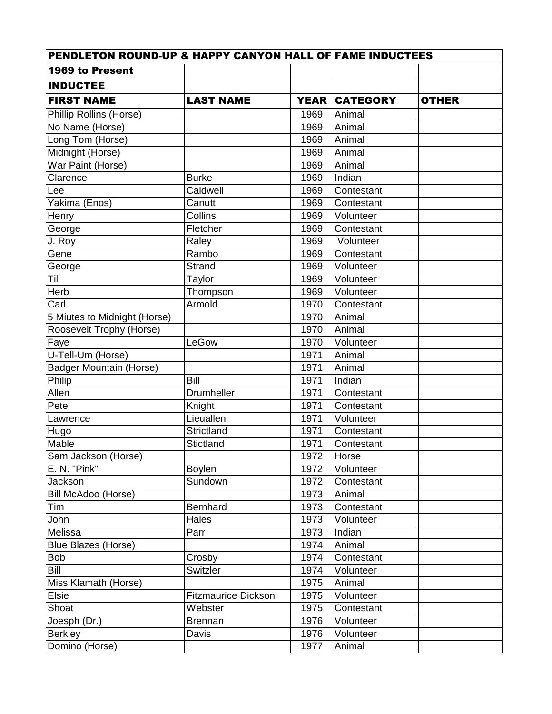| <b>PENDLETON ROUND-UP &amp; HAPPY CANYON HALL OF FAME INDUCTEES</b> |                            |             |                 |              |
|---------------------------------------------------------------------|----------------------------|-------------|-----------------|--------------|
| 1969 to Present                                                     |                            |             |                 |              |
| <b>INDUCTEE</b>                                                     |                            |             |                 |              |
| <b>FIRST NAME</b>                                                   | <b>LAST NAME</b>           | <b>YEAR</b> | <b>CATEGORY</b> | <b>OTHER</b> |
| <b>Phillip Rollins (Horse)</b>                                      |                            | 1969        | Animal          |              |
| No Name (Horse)                                                     |                            | 1969        | Animal          |              |
| Long Tom (Horse)                                                    |                            | 1969        | Animal          |              |
| Midnight (Horse)                                                    |                            | 1969        | Animal          |              |
| War Paint (Horse)                                                   |                            | 1969        | Animal          |              |
| Clarence                                                            | <b>Burke</b>               | 1969        | Indian          |              |
| Lee                                                                 | Caldwell                   | 1969        | Contestant      |              |
| Yakima (Enos)                                                       | Canutt                     | 1969        | Contestant      |              |
| Henry                                                               | Collins                    | 1969        | Volunteer       |              |
| George                                                              | Fletcher                   | 1969        | Contestant      |              |
| J. Roy                                                              | Raley                      | 1969        | Volunteer       |              |
| Gene                                                                | Rambo                      | 1969        | Contestant      |              |
| George                                                              | Strand                     | 1969        | Volunteer       |              |
| Til                                                                 | Taylor                     | 1969        | Volunteer       |              |
| Herb                                                                | Thompson                   | 1969        | Volunteer       |              |
| Carl                                                                | Armold                     | 1970        | Contestant      |              |
| 5 Miutes to Midnight (Horse)                                        |                            | 1970        | Animal          |              |
| Roosevelt Trophy (Horse)                                            |                            | 1970        | Animal          |              |
| Faye                                                                | LeGow                      | 1970        | Volunteer       |              |
| U-Tell-Um (Horse)                                                   |                            | 1971        | Animal          |              |
| <b>Badger Mountain (Horse)</b>                                      |                            | 1971        | Animal          |              |
| Philip                                                              | <b>Bill</b>                | 1971        | Indian          |              |
| Allen                                                               | Drumheller                 | 1971        | Contestant      |              |
| Pete                                                                | Knight                     | 1971        | Contestant      |              |
| Lawrence                                                            | Lieuallen                  | 1971        | Volunteer       |              |
| Hugo                                                                | Strictland                 | 1971        | Contestant      |              |
| Mable                                                               | Stictland                  | 1971        | Contestant      |              |
| Sam Jackson (Horse)                                                 |                            | 1972        | Horse           |              |
| E. N. "Pink"                                                        | <b>Boylen</b>              | 1972        | Volunteer       |              |
| Jackson                                                             | Sundown                    | 1972        | Contestant      |              |
| Bill McAdoo (Horse)                                                 |                            | 1973        | Animal          |              |
| Tim                                                                 | <b>Bernhard</b>            | 1973        | Contestant      |              |
| John                                                                | Hales                      | 1973        | Volunteer       |              |
| Melissa                                                             | Parr                       | 1973        | Indian          |              |
| Blue Blazes (Horse)                                                 |                            | 1974        | Animal          |              |
| <b>Bob</b>                                                          | Crosby                     | 1974        | Contestant      |              |
| <b>Bill</b>                                                         | Switzler                   | 1974        | Volunteer       |              |
| Miss Klamath (Horse)                                                |                            | 1975        | Animal          |              |
| Elsie                                                               | <b>Fitzmaurice Dickson</b> | 1975        | Volunteer       |              |
| Shoat                                                               | Webster                    | 1975        | Contestant      |              |
| Joesph (Dr.)                                                        | <b>Brennan</b>             | 1976        | Volunteer       |              |
| <b>Berkley</b>                                                      | Davis                      | 1976        | Volunteer       |              |
| Domino (Horse)                                                      |                            | 1977        | Animal          |              |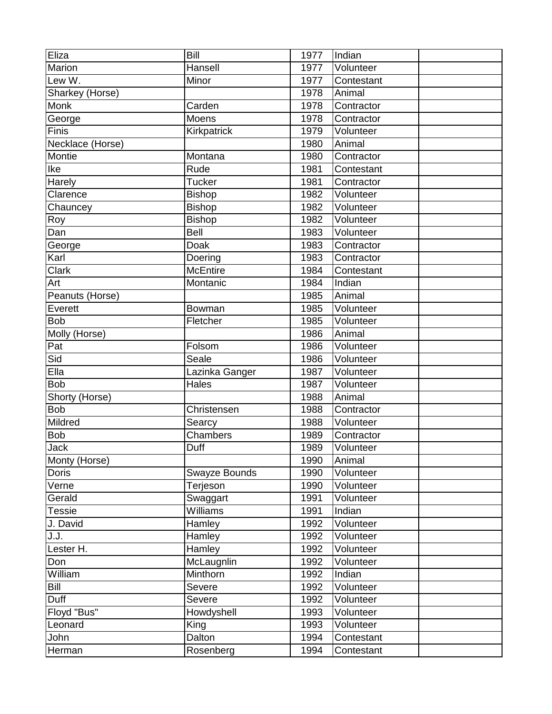| Eliza            | Bill            | 1977 | Indian     |  |
|------------------|-----------------|------|------------|--|
| Marion           | Hansell         | 1977 | Volunteer  |  |
| Lew W.           | Minor           | 1977 | Contestant |  |
| Sharkey (Horse)  |                 | 1978 | Animal     |  |
| <b>Monk</b>      | Carden          | 1978 | Contractor |  |
| George           | Moens           | 1978 | Contractor |  |
| Finis            | Kirkpatrick     | 1979 | Volunteer  |  |
| Necklace (Horse) |                 | 1980 | Animal     |  |
| Montie           | Montana         | 1980 | Contractor |  |
| Ike              | Rude            | 1981 | Contestant |  |
| Harely           | <b>Tucker</b>   | 1981 | Contractor |  |
| Clarence         | <b>Bishop</b>   | 1982 | Volunteer  |  |
| Chauncey         | <b>Bishop</b>   | 1982 | Volunteer  |  |
| Roy              | <b>Bishop</b>   | 1982 | Volunteer  |  |
| Dan              | Bell            | 1983 | Volunteer  |  |
| George           | Doak            | 1983 | Contractor |  |
| Karl             | Doering         | 1983 | Contractor |  |
| <b>Clark</b>     | <b>McEntire</b> | 1984 | Contestant |  |
| Art              | Montanic        | 1984 | Indian     |  |
| Peanuts (Horse)  |                 | 1985 | Animal     |  |
| Everett          | Bowman          | 1985 | Volunteer  |  |
| <b>Bob</b>       | Fletcher        | 1985 | Volunteer  |  |
| Molly (Horse)    |                 | 1986 | Animal     |  |
| Pat              | Folsom          | 1986 | Volunteer  |  |
| Sid              | Seale           | 1986 | Volunteer  |  |
| Ella             | Lazinka Ganger  | 1987 | Volunteer  |  |
| <b>Bob</b>       | <b>Hales</b>    | 1987 | Volunteer  |  |
| Shorty (Horse)   |                 | 1988 | Animal     |  |
| <b>Bob</b>       | Christensen     | 1988 | Contractor |  |
| Mildred          | Searcy          | 1988 | Volunteer  |  |
| <b>Bob</b>       | Chambers        | 1989 | Contractor |  |
| <b>Jack</b>      | Duff            | 1989 | Volunteer  |  |
| Monty (Horse)    |                 | 1990 | Animal     |  |
| <b>Doris</b>     | Swayze Bounds   | 1990 | Volunteer  |  |
| Verne            | Terjeson        | 1990 | Volunteer  |  |
| Gerald           | Swaggart        | 1991 | Volunteer  |  |
| <b>Tessie</b>    | Williams        | 1991 | Indian     |  |
| J. David         | Hamley          | 1992 | Volunteer  |  |
| J.J.             | Hamley          | 1992 | Volunteer  |  |
| Lester H.        | Hamley          | 1992 | Volunteer  |  |
| Don              | McLaugnlin      | 1992 | Volunteer  |  |
| William          | Minthorn        | 1992 | Indian     |  |
| Bill             | Severe          | 1992 | Volunteer  |  |
| Duff             | Severe          | 1992 | Volunteer  |  |
| Floyd "Bus"      | Howdyshell      | 1993 | Volunteer  |  |
| Leonard          | King            | 1993 | Volunteer  |  |
| John             | Dalton          | 1994 | Contestant |  |
| Herman           | Rosenberg       | 1994 | Contestant |  |
|                  |                 |      |            |  |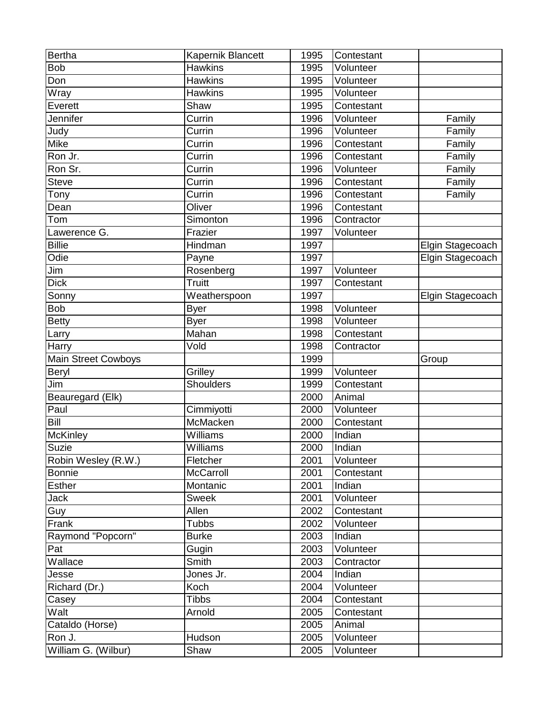| <b>Bertha</b>               | Kapernik Blancett | 1995 | Contestant |                  |
|-----------------------------|-------------------|------|------------|------------------|
| <b>Bob</b>                  | <b>Hawkins</b>    | 1995 | Volunteer  |                  |
| Don                         | <b>Hawkins</b>    | 1995 | Volunteer  |                  |
| $\overline{W}$ ray          | <b>Hawkins</b>    | 1995 | Volunteer  |                  |
| Everett                     | Shaw              | 1995 | Contestant |                  |
| Jennifer                    | Currin            | 1996 | Volunteer  | Family           |
| Judy                        | Currin            | 1996 | Volunteer  | Family           |
| Mike                        | Currin            | 1996 | Contestant | Family           |
| Ron Jr.                     | Currin            | 1996 | Contestant | Family           |
| Ron Sr.                     | Currin            | 1996 | Volunteer  | Family           |
| <b>Steve</b>                | Currin            | 1996 | Contestant | Family           |
| Tony                        | Currin            | 1996 | Contestant | Family           |
| Dean                        | Oliver            | 1996 | Contestant |                  |
| Tom                         | Simonton          | 1996 | Contractor |                  |
| Lawerence G.                | Frazier           | 1997 | Volunteer  |                  |
| <b>Billie</b>               | Hindman           | 1997 |            | Elgin Stagecoach |
| Odie                        | Payne             | 1997 |            | Elgin Stagecoach |
| Jim                         | Rosenberg         | 1997 | Volunteer  |                  |
| <b>Dick</b>                 | <b>Truitt</b>     | 1997 | Contestant |                  |
| Sonny                       | Weatherspoon      | 1997 |            | Elgin Stagecoach |
| <b>Bob</b>                  | <b>Byer</b>       | 1998 | Volunteer  |                  |
| <b>Betty</b>                | <b>Byer</b>       | 1998 | Volunteer  |                  |
| Larry                       | Mahan             | 1998 | Contestant |                  |
| Harry                       | Vold              | 1998 | Contractor |                  |
| Main Street Cowboys         |                   | 1999 |            | Group            |
| Beryl                       | Grilley           | 1999 | Volunteer  |                  |
| Jim                         | <b>Shoulders</b>  | 1999 | Contestant |                  |
| Beauregard (Elk)            |                   | 2000 | Animal     |                  |
| Paul                        | Cimmiyotti        | 2000 | Volunteer  |                  |
| Bill                        | McMacken          | 2000 | Contestant |                  |
| McKinley                    | Williams          | 2000 | Indian     |                  |
| Suzie                       | Williams          | 2000 | Indian     |                  |
| Robin Wesley (R.W.)         | Fletcher          | 2001 | Volunteer  |                  |
| <b>Bonnie</b>               | McCarroll         | 2001 | Contestant |                  |
| <b>Esther</b>               | Montanic          | 2001 | Indian     |                  |
| Jack                        | <b>Sweek</b>      | 2001 | Volunteer  |                  |
| Guy                         | Allen             | 2002 | Contestant |                  |
| Frank                       | <b>Tubbs</b>      | 2002 | Volunteer  |                  |
| Raymond "Popcorn"           | <b>Burke</b>      | 2003 | Indian     |                  |
| Pat                         | Gugin             | 2003 | Volunteer  |                  |
| $\overline{\text{Wallace}}$ | Smith             | 2003 | Contractor |                  |
| Jesse                       | Jones Jr.         | 2004 | Indian     |                  |
| Richard (Dr.)               | Koch              | 2004 | Volunteer  |                  |
| Casey                       | <b>Tibbs</b>      | 2004 | Contestant |                  |
| Walt                        | Arnold            | 2005 | Contestant |                  |
| Cataldo (Horse)             |                   | 2005 | Animal     |                  |
| Ron J.                      | Hudson            | 2005 | Volunteer  |                  |
|                             |                   |      |            |                  |
| William G. (Wilbur)         | Shaw              | 2005 | Volunteer  |                  |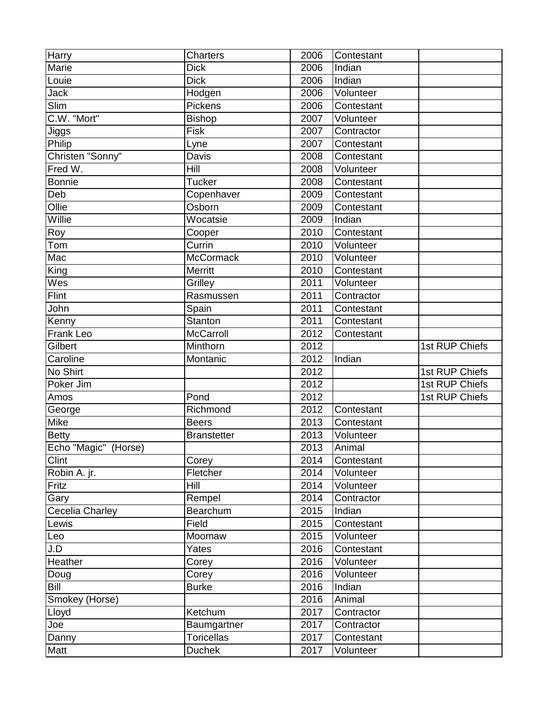| Harry                  | Charters           | 2006              | Contestant |                |
|------------------------|--------------------|-------------------|------------|----------------|
| Marie                  | <b>Dick</b>        | 2006              | Indian     |                |
| Louie                  | <b>Dick</b>        | 2006              | Indian     |                |
| <b>Jack</b>            | Hodgen             | 2006              | Volunteer  |                |
| Slim                   | Pickens            | 2006              | Contestant |                |
| C.W. "Mort"            | <b>Bishop</b>      | 2007              | Volunteer  |                |
| Jiggs                  | Fisk               | 2007              | Contractor |                |
| Philip                 | Lyne               | 2007              | Contestant |                |
| Christen "Sonny"       | Davis              | 2008              | Contestant |                |
| Fred W.                | Hill               | 2008              | Volunteer  |                |
| <b>Bonnie</b>          | <b>Tucker</b>      | 2008              | Contestant |                |
| Deb                    | Copenhaver         | 2009              | Contestant |                |
| Ollie                  | Osborn             | 2009              | Contestant |                |
| Willie                 | Wocatsie           | 2009              | Indian     |                |
| Roy                    | Cooper             | 2010              | Contestant |                |
| Tom                    | Currin             | 2010              | Volunteer  |                |
| Mac                    | McCormack          | 2010              | Volunteer  |                |
| King                   | Merritt            | 2010              | Contestant |                |
| Wes                    | Grilley            | 2011              | Volunteer  |                |
| Flint                  | Rasmussen          | 2011              | Contractor |                |
| John                   | Spain              | 2011              | Contestant |                |
| Kenny                  | Stanton            | 2011              | Contestant |                |
| <b>Frank Leo</b>       | McCarroll          | 2012              | Contestant |                |
| Gilbert                | Minthorn           | 2012              |            | 1st RUP Chiefs |
| Caroline               | Montanic           | 2012              | Indian     |                |
| No Shirt               |                    | 2012              |            | 1st RUP Chiefs |
| Poker Jim              |                    | 2012              |            | 1st RUP Chiefs |
| Amos                   | Pond               | 2012              |            | 1st RUP Chiefs |
| George                 | Richmond           | 2012              | Contestant |                |
| Mike                   | <b>Beers</b>       | 2013              | Contestant |                |
| <b>Betty</b>           | <b>Branstetter</b> | 2013              | Volunteer  |                |
| Echo "Magic" (Horse)   |                    | 2013              | Animal     |                |
| Clint                  | Corey              | 2014              | Contestant |                |
| Robin A. jr.           | Fletcher           | 2014              | Volunteer  |                |
| Fritz                  | Hill               | 2014              | Volunteer  |                |
| Gary                   | Rempel             | 2014              | Contractor |                |
| <b>Cecelia Charley</b> | Bearchum           | 2015              | Indian     |                |
| Lewis                  | Field              | 2015              | Contestant |                |
| Leo                    | Moomaw             | 2015              | Volunteer  |                |
| J.D                    | Yates              | 2016              | Contestant |                |
| Heather                | Corey              | 2016              | Volunteer  |                |
| Doug                   | Corey              | 2016              | Volunteer  |                |
| Bill                   | <b>Burke</b>       | 2016              | Indian     |                |
| Smokey (Horse)         |                    | 2016              | Animal     |                |
| Lloyd                  | Ketchum            | 2017              | Contractor |                |
| Joe                    | Baumgartner        | $\overline{20}17$ | Contractor |                |
| Danny                  | <b>Toricellas</b>  | 2017              | Contestant |                |
| Matt                   | <b>Duchek</b>      | 2017              | Volunteer  |                |
|                        |                    |                   |            |                |